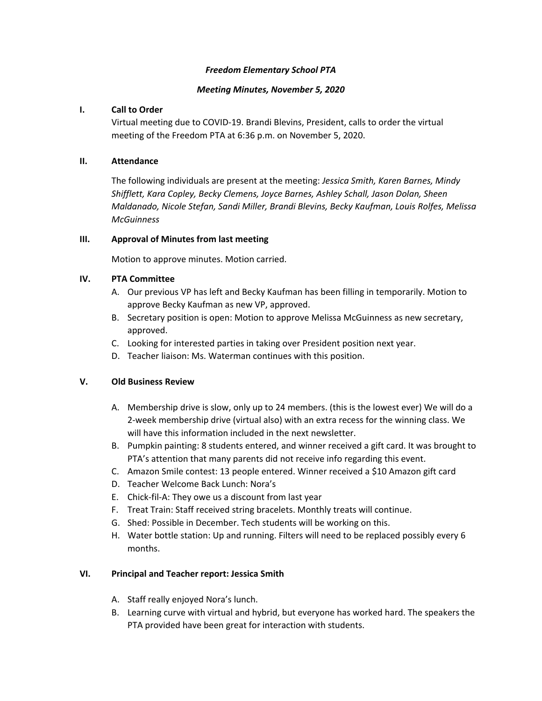### *Freedom Elementary School PTA*

### *Meeting Minutes, November 5, 2020*

#### **I. Call to Order**

Virtual meeting due to COVID-19. Brandi Blevins, President, calls to order the virtual meeting of the Freedom PTA at 6:36 p.m. on November 5, 2020.

### **II. Attendance**

The following individuals are present at the meeting: *Jessica Smith, Karen Barnes, Mindy Shifflett, Kara Copley, Becky Clemens, Joyce Barnes, Ashley Schall, Jason Dolan, Sheen Maldanado, Nicole Stefan, Sandi Miller, Brandi Blevins, Becky Kaufman, Louis Rolfes, Melissa McGuinness*

### **III. Approval of Minutes from last meeting**

Motion to approve minutes. Motion carried.

### **IV. PTA Committee**

- A. Our previous VP has left and Becky Kaufman has been filling in temporarily. Motion to approve Becky Kaufman as new VP, approved.
- B. Secretary position is open: Motion to approve Melissa McGuinness as new secretary, approved.
- C. Looking for interested parties in taking over President position next year.
- D. Teacher liaison: Ms. Waterman continues with this position.

# **V. Old Business Review**

- A. Membership drive is slow, only up to 24 members. (this is the lowest ever) We will do a 2-week membership drive (virtual also) with an extra recess for the winning class. We will have this information included in the next newsletter.
- B. Pumpkin painting: 8 students entered, and winner received a gift card. It was brought to PTA's attention that many parents did not receive info regarding this event.
- C. Amazon Smile contest: 13 people entered. Winner received a \$10 Amazon gift card
- D. Teacher Welcome Back Lunch: Nora's
- E. Chick-fil-A: They owe us a discount from last year
- F. Treat Train: Staff received string bracelets. Monthly treats will continue.
- G. Shed: Possible in December. Tech students will be working on this.
- H. Water bottle station: Up and running. Filters will need to be replaced possibly every 6 months.

#### **VI. Principal and Teacher report: Jessica Smith**

- A. Staff really enjoyed Nora's lunch.
- B. Learning curve with virtual and hybrid, but everyone has worked hard. The speakers the PTA provided have been great for interaction with students.